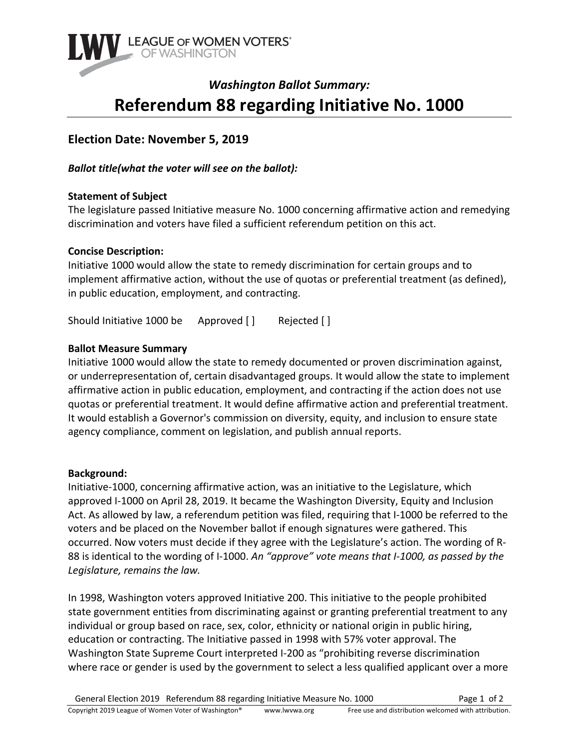

# *Washington Ballot Summary:* **Referendum 88 regarding Initiative No. 1000**

# **Election Date: November 5, 2019**

*Ballot title(what the voter will see on the ballot):* 

# **Statement of Subject**

The legislature passed Initiative measure No. 1000 concerning affirmative action and remedying discrimination and voters have filed a sufficient referendum petition on this act.

# **Concise Description:**

Initiative 1000 would allow the state to remedy discrimination for certain groups and to implement affirmative action, without the use of quotas or preferential treatment (as defined), in public education, employment, and contracting.

Should Initiative 1000 be Approved [ ] Rejected [ ]

# **Ballot Measure Summary**

Initiative 1000 would allow the state to remedy documented or proven discrimination against, or underrepresentation of, certain disadvantaged groups. It would allow the state to implement affirmative action in public education, employment, and contracting if the action does not use quotas or preferential treatment. It would define affirmative action and preferential treatment. It would establish a Governor's commission on diversity, equity, and inclusion to ensure state agency compliance, comment on legislation, and publish annual reports.

#### **Background:**

Initiative-1000, concerning affirmative action, was an initiative to the Legislature, which approved I-1000 on April 28, 2019. It became the Washington Diversity, Equity and Inclusion Act. As allowed by law, a referendum petition was filed, requiring that I-1000 be referred to the voters and be placed on the November ballot if enough signatures were gathered. This occurred. Now voters must decide if they agree with the Legislature's action. The wording of R-88 is identical to the wording of I-1000. *An "approve" vote means that I-1000, as passed by the Legislature, remains the law.* 

In 1998, Washington voters approved Initiative 200. This initiative to the people prohibited state government entities from discriminating against or granting preferential treatment to any individual or group based on race, sex, color, ethnicity or national origin in public hiring, education or contracting. The Initiative passed in 1998 with 57% voter approval. The Washington State Supreme Court interpreted I-200 as "prohibiting reverse discrimination where race or gender is used by the government to select a less qualified applicant over a more

General Election 2019 Referendum 88 regarding Initiative Measure No. 1000 Page 1 of 2